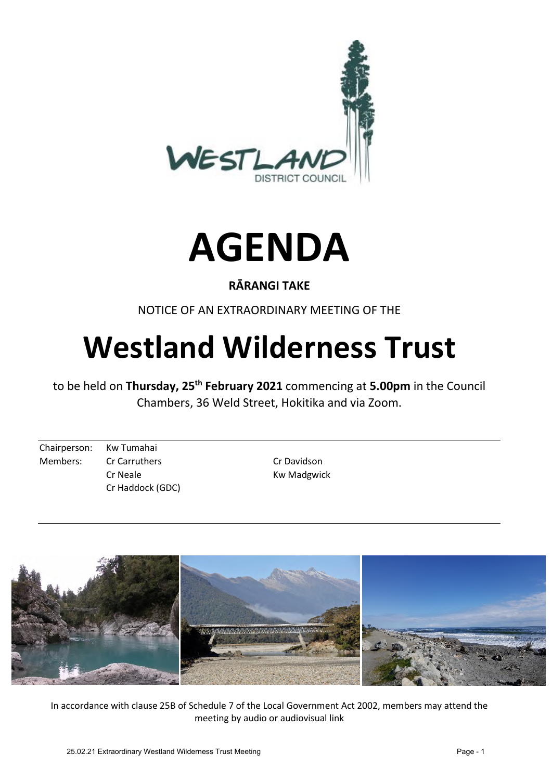



## **RĀRANGI TAKE**

NOTICE OF AN EXTRAORDINARY MEETING OF THE

# **Westland Wilderness Trust**

to be held on **Thursday, 25th February 2021** commencing at **5.00pm** in the Council Chambers, 36 Weld Street, Hokitika and via Zoom.

Chairperson: Kw Tumahai Members: Cr Carruthers Cr Davidson Cr Haddock (GDC)

Cr Neale **Kw** Madgwick



In accordance with clause 25B of Schedule 7 of the Local Government Act 2002, members may attend the meeting by audio or audiovisual link